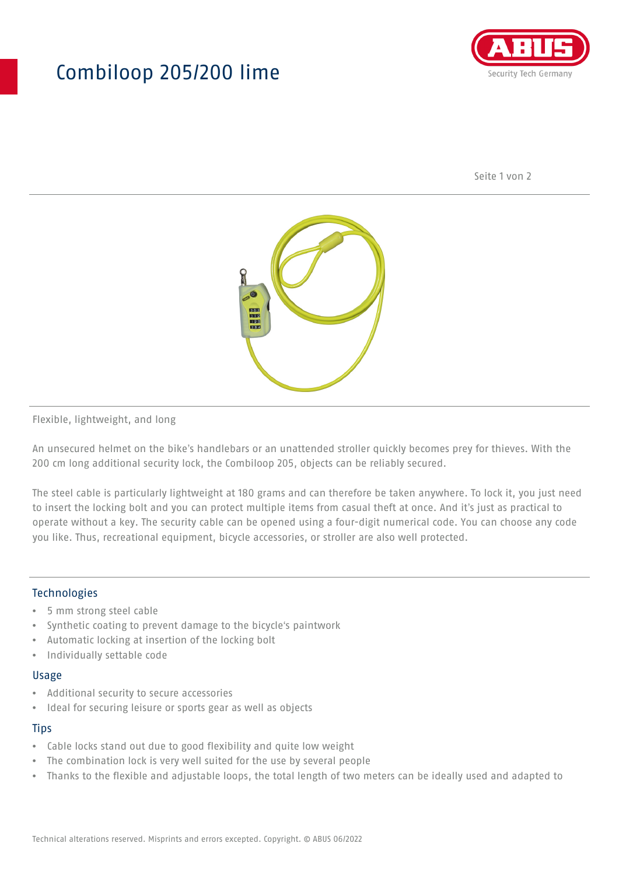## Combiloop 205/200 lime



Seite 1 von 2



#### Flexible, lightweight, and long

An unsecured helmet on the bike's handlebars or an unattended stroller quickly becomes prey for thieves. With the 200 cm long additional security lock, the Combiloop 205, objects can be reliably secured.

The steel cable is particularly lightweight at 180 grams and can therefore be taken anywhere. To lock it, you just need to insert the locking bolt and you can protect multiple items from casual theft at once. And it's just as practical to operate without a key. The security cable can be opened using a four-digit numerical code. You can choose any code you like. Thus, recreational equipment, bicycle accessories, or stroller are also well protected.

#### Technologies

- 5 mm strong steel cable
- Synthetic coating to prevent damage to the bicycle's paintwork
- Automatic locking at insertion of the locking bolt
- Individually settable code

#### Usage

- Additional security to secure accessories
- Ideal for securing leisure or sports gear as well as objects

#### **Tips**

- Cable locks stand out due to good flexibility and quite low weight
- The combination lock is very well suited for the use by several people
- Thanks to the flexible and adjustable loops, the total length of two meters can be ideally used and adapted to